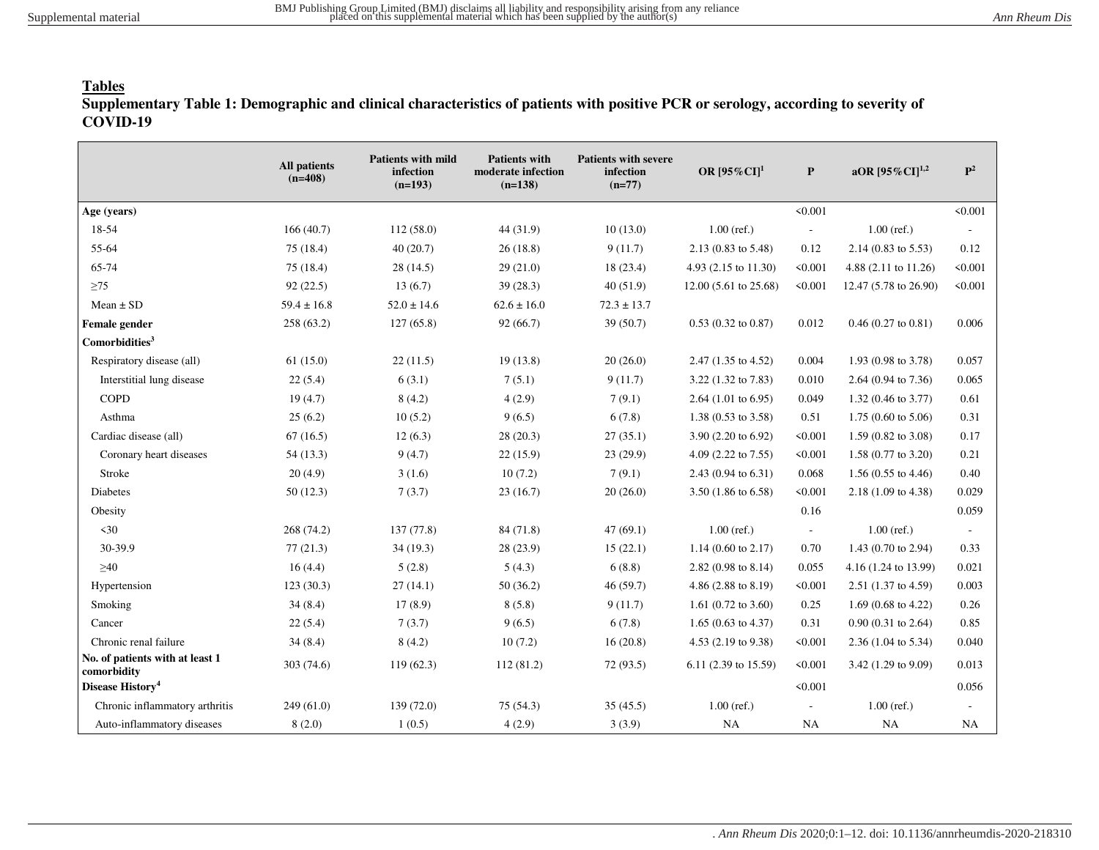## **Tables**

**Supplementary Table 1: Demographic and clinical characteristics of patients with positive PCR or serology, according to severity of COVID-19**

|                                                | <b>All patients</b><br>$(n=408)$ | <b>Patients with mild</b><br>infection<br>$(n=193)$ | <b>Patients with</b><br>moderate infection<br>$(n=138)$ | <b>Patients with severe</b><br>infection<br>$(n=77)$ | OR $[95\%$ CI <sup>1</sup>     | P                        | aOR $[95\%$ CI] <sup>1,2</sup>  | ${\bf P}^2$              |
|------------------------------------------------|----------------------------------|-----------------------------------------------------|---------------------------------------------------------|------------------------------------------------------|--------------------------------|--------------------------|---------------------------------|--------------------------|
| Age (years)                                    |                                  |                                                     |                                                         |                                                      |                                | < 0.001                  |                                 | < 0.001                  |
| 18-54                                          | 166(40.7)                        | 112(58.0)                                           | 44 (31.9)                                               | 10(13.0)                                             | $1.00$ (ref.)                  | $\overline{\phantom{a}}$ | $1.00$ (ref.)                   | $\overline{\phantom{a}}$ |
| 55-64                                          | 75(18.4)                         | 40(20.7)                                            | 26(18.8)                                                | 9(11.7)                                              | 2.13 (0.83 to 5.48)            | 0.12                     | $2.14(0.83 \text{ to } 5.53)$   | 0.12                     |
| 65-74                                          | 75(18.4)                         | 28(14.5)                                            | 29(21.0)                                                | 18 (23.4)                                            | 4.93 (2.15 to 11.30)           | < 0.001                  | 4.88 $(2.11 \text{ to } 11.26)$ | < 0.001                  |
| $\geq$ 75                                      | 92(22.5)                         | 13(6.7)                                             | 39(28.3)                                                | 40(51.9)                                             | 12.00 (5.61 to 25.68)          | < 0.001                  | 12.47 (5.78 to 26.90)           | < 0.001                  |
| $Mean \pm SD$                                  | $59.4 \pm 16.8$                  | $52.0 \pm 14.6$                                     | $62.6 \pm 16.0$                                         | $72.3 \pm 13.7$                                      |                                |                          |                                 |                          |
| Female gender                                  | 258(63.2)                        | 127(65.8)                                           | 92(66.7)                                                | 39(50.7)                                             | $0.53$ (0.32 to 0.87)          | 0.012                    | $0.46$ (0.27 to 0.81)           | 0.006                    |
| Comorbidities <sup>3</sup>                     |                                  |                                                     |                                                         |                                                      |                                |                          |                                 |                          |
| Respiratory disease (all)                      | 61(15.0)                         | 22(11.5)                                            | 19(13.8)                                                | 20(26.0)                                             | 2.47 (1.35 to 4.52)            | 0.004                    | 1.93 (0.98 to 3.78)             | 0.057                    |
| Interstitial lung disease                      | 22(5.4)                          | 6(3.1)                                              | 7(5.1)                                                  | 9(11.7)                                              | 3.22 (1.32 to 7.83)            | 0.010                    | 2.64 (0.94 to 7.36)             | 0.065                    |
| <b>COPD</b>                                    | 19(4.7)                          | 8(4.2)                                              | 4(2.9)                                                  | 7(9.1)                                               | 2.64 $(1.01 \text{ to } 6.95)$ | 0.049                    | $1.32(0.46 \text{ to } 3.77)$   | 0.61                     |
| Asthma                                         | 25(6.2)                          | 10(5.2)                                             | 9(6.5)                                                  | 6(7.8)                                               | 1.38 (0.53 to 3.58)            | 0.51                     | $1.75(0.60 \text{ to } 5.06)$   | 0.31                     |
| Cardiac disease (all)                          | 67(16.5)                         | 12(6.3)                                             | 28(20.3)                                                | 27(35.1)                                             | 3.90 (2.20 to 6.92)            | < 0.001                  | $1.59(0.82 \text{ to } 3.08)$   | 0.17                     |
| Coronary heart diseases                        | 54(13.3)                         | 9(4.7)                                              | 22(15.9)                                                | 23 (29.9)                                            | 4.09 (2.22 to 7.55)            | < 0.001                  | $1.58(0.77 \text{ to } 3.20)$   | 0.21                     |
| Stroke                                         | 20(4.9)                          | 3(1.6)                                              | 10(7.2)                                                 | 7(9.1)                                               | 2.43 (0.94 to 6.31)            | 0.068                    | $1.56(0.55 \text{ to } 4.46)$   | 0.40                     |
| Diabetes                                       | 50(12.3)                         | 7(3.7)                                              | 23(16.7)                                                | 20(26.0)                                             | 3.50 (1.86 to 6.58)            | < 0.001                  | 2.18 (1.09 to 4.38)             | 0.029                    |
| Obesity                                        |                                  |                                                     |                                                         |                                                      |                                | 0.16                     |                                 | 0.059                    |
| $30$                                           | 268 (74.2)                       | 137(77.8)                                           | 84 (71.8)                                               | 47(69.1)                                             | $1.00$ (ref.)                  | $\overline{\phantom{a}}$ | $1.00$ (ref.)                   | $\overline{\phantom{a}}$ |
| 30-39.9                                        | 77(21.3)                         | 34(19.3)                                            | 28 (23.9)                                               | 15(22.1)                                             | $1.14$ (0.60 to 2.17)          | 0.70                     | 1.43 (0.70 to 2.94)             | 0.33                     |
| $\geq 40$                                      | 16(4.4)                          | 5(2.8)                                              | 5(4.3)                                                  | 6(8.8)                                               | $2.82(0.98 \text{ to } 8.14)$  | 0.055                    | 4.16 (1.24 to 13.99)            | 0.021                    |
| Hypertension                                   | 123(30.3)                        | 27(14.1)                                            | 50(36.2)                                                | 46(59.7)                                             | 4.86 (2.88 to 8.19)            | < 0.001                  | 2.51 (1.37 to 4.59)             | 0.003                    |
| Smoking                                        | 34(8.4)                          | 17(8.9)                                             | 8(5.8)                                                  | 9(11.7)                                              | 1.61 $(0.72 \text{ to } 3.60)$ | 0.25                     | 1.69 (0.68 to 4.22)             | 0.26                     |
| Cancer                                         | 22(5.4)                          | 7(3.7)                                              | 9(6.5)                                                  | 6(7.8)                                               | $1.65(0.63 \text{ to } 4.37)$  | 0.31                     | $0.90(0.31 \text{ to } 2.64)$   | 0.85                     |
| Chronic renal failure                          | 34(8.4)                          | 8(4.2)                                              | 10(7.2)                                                 | 16(20.8)                                             | 4.53 (2.19 to 9.38)            | < 0.001                  | $2.36(1.04 \text{ to } 5.34)$   | 0.040                    |
| No. of patients with at least 1<br>comorbidity | 303 (74.6)                       | 119(62.3)                                           | 112(81.2)                                               | 72 (93.5)                                            | 6.11 (2.39 to 15.59)           | < 0.001                  | 3.42 (1.29 to 9.09)             | 0.013                    |
| Disease History <sup>4</sup>                   |                                  |                                                     |                                                         |                                                      |                                | < 0.001                  |                                 | 0.056                    |
| Chronic inflammatory arthritis                 | 249(61.0)                        | 139(72.0)                                           | 75(54.3)                                                | 35(45.5)                                             | $1.00$ (ref.)                  | $\overline{\phantom{a}}$ | $1.00$ (ref.)                   |                          |
| Auto-inflammatory diseases                     | 8(2.0)                           | 1(0.5)                                              | 4(2.9)                                                  | 3(3.9)                                               | NA                             | <b>NA</b>                | NA                              | NA                       |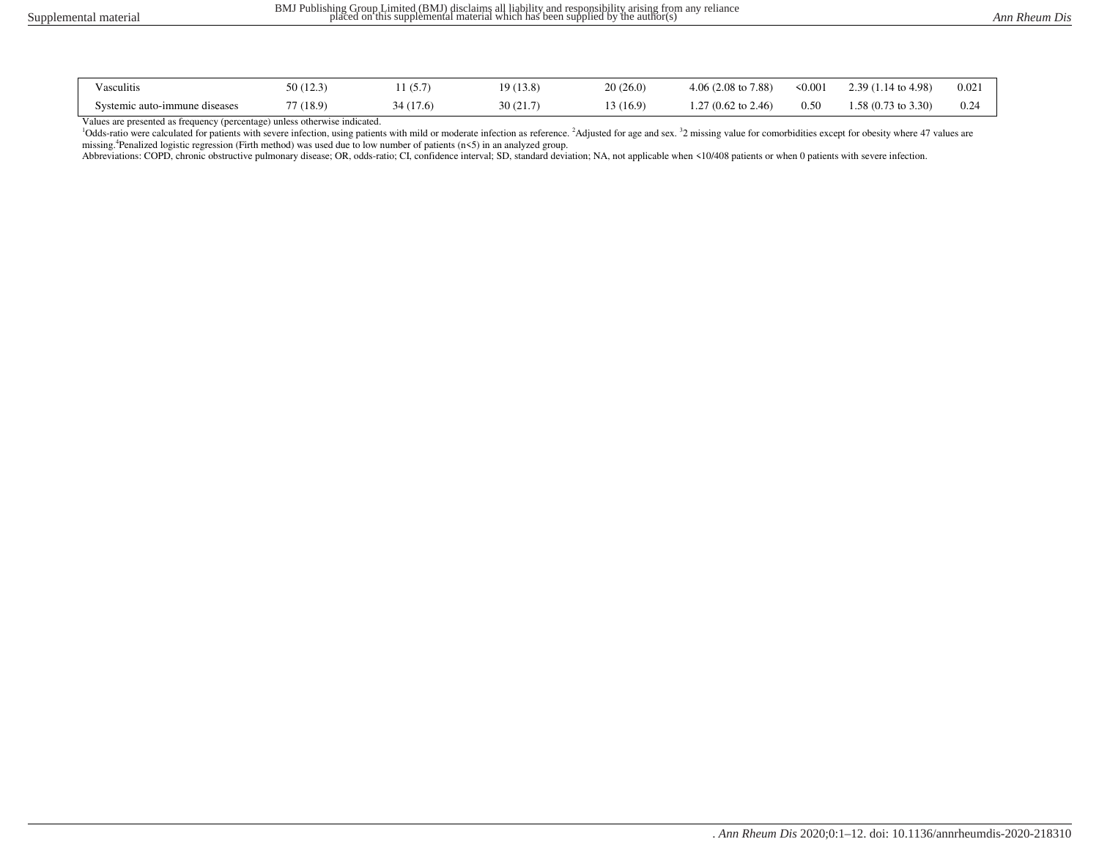| Vasculitis                    | 50(12.3)  | (5.7)    | 19 (13.8) | 20(26.0) | $4.06(2.08 \text{ to } 7.88)$ | 50.001 | $2.39(1.14 \text{ to } 4.98)$ | 0.02 |
|-------------------------------|-----------|----------|-----------|----------|-------------------------------|--------|-------------------------------|------|
| Systemic auto-immune diseases | 77 (18.9) | 34(17.6) | 30(21.7)  | 13(16.9) | $27(0.62 \text{ to } 2.46)$   | 0.50   | $1.58(0.73 \text{ to } 3.30)$ | 0.24 |

Values are presented as frequency (percentage) unless otherwise indicated.

<sup>1</sup>Odds-ratio were calculated for patients with severe infection, using patients with mild or moderate infection as reference. <sup>2</sup>Adjusted for age and sex. <sup>3</sup>2 missing value for comorbidities except for obesity where 47 v missing.<sup>4</sup>Penalized logistic regression (Firth method) was used due to low number of patients (n<5) in an analyzed group.

Abbreviations: COPD, chronic obstructive pulmonary disease; OR, odds-ratio; CI, confidence interval; SD, standard deviation; NA, not applicable when <10/408 patients or when 0 patients with severe infection.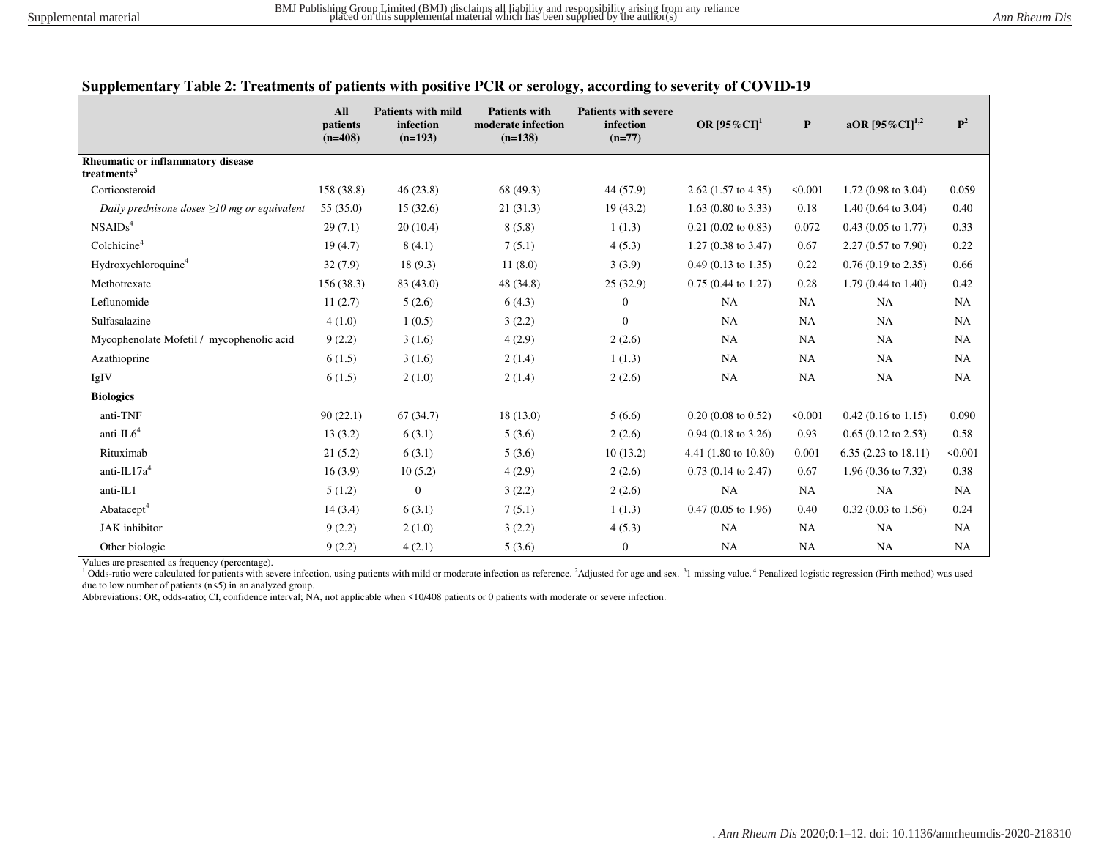|  |  |  | Supplementary Table 2: Treatments of patients with positive PCR or serology, according to severity of COVID-19 |
|--|--|--|----------------------------------------------------------------------------------------------------------------|
|  |  |  |                                                                                                                |

|                                                              | All<br>patients<br>$(n=408)$ | <b>Patients with mild</b><br>infection<br>$(n=193)$ | <b>Patients with</b><br>moderate infection<br>$(n=138)$ | <b>Patients with severe</b><br>infection<br>$(n=77)$ | OR $[95\%$ CI] <sup>1</sup>   | $\mathbf{P}$ | aOR $[95\%$ CI] <sup>1,2</sup> | ${\bf P}^2$ |
|--------------------------------------------------------------|------------------------------|-----------------------------------------------------|---------------------------------------------------------|------------------------------------------------------|-------------------------------|--------------|--------------------------------|-------------|
| Rheumatic or inflammatory disease<br>treatments <sup>3</sup> |                              |                                                     |                                                         |                                                      |                               |              |                                |             |
| Corticosteroid                                               | 158 (38.8)                   | 46(23.8)                                            | 68 (49.3)                                               | 44 (57.9)                                            | $2.62$ (1.57 to 4.35)         | < 0.001      | 1.72 $(0.98 \text{ to } 3.04)$ | 0.059       |
| Daily prednisone doses $\geq 10$ mg or equivalent            | 55(35.0)                     | 15(32.6)                                            | 21(31.3)                                                | 19(43.2)                                             | $1.63$ (0.80 to 3.33)         | 0.18         | 1.40 $(0.64 \text{ to } 3.04)$ | 0.40        |
| NSAIDS <sup>4</sup>                                          | 29(7.1)                      | 20(10.4)                                            | 8(5.8)                                                  | 1(1.3)                                               | $0.21$ (0.02 to 0.83)         | 0.072        | $0.43$ (0.05 to 1.77)          | 0.33        |
| Colchicine <sup>4</sup>                                      | 19(4.7)                      | 8(4.1)                                              | 7(5.1)                                                  | 4(5.3)                                               | $1.27(0.38 \text{ to } 3.47)$ | 0.67         | $2.27(0.57 \text{ to } 7.90)$  | 0.22        |
| Hydroxychloroquine <sup>4</sup>                              | 32(7.9)                      | 18(9.3)                                             | 11(8.0)                                                 | 3(3.9)                                               | $0.49$ (0.13 to 1.35)         | 0.22         | $0.76$ (0.19 to 2.35)          | 0.66        |
| Methotrexate                                                 | 156(38.3)                    | 83 (43.0)                                           | 48 (34.8)                                               | 25(32.9)                                             | $0.75(0.44 \text{ to } 1.27)$ | 0.28         | $1.79(0.44 \text{ to } 1.40)$  | 0.42        |
| Leflunomide                                                  | 11(2.7)                      | 5(2.6)                                              | 6(4.3)                                                  | $\overline{0}$                                       | NA                            | NA           | <b>NA</b>                      | NA          |
| Sulfasalazine                                                | 4(1.0)                       | 1(0.5)                                              | 3(2.2)                                                  | $\Omega$                                             | NA                            | NA           | <b>NA</b>                      | <b>NA</b>   |
| Mycophenolate Mofetil / mycophenolic acid                    | 9(2.2)                       | 3(1.6)                                              | 4(2.9)                                                  | 2(2.6)                                               | <b>NA</b>                     | <b>NA</b>    | <b>NA</b>                      | NA          |
| Azathioprine                                                 | 6(1.5)                       | 3(1.6)                                              | 2(1.4)                                                  | 1(1.3)                                               | <b>NA</b>                     | NA           | <b>NA</b>                      | NA          |
| IgIV                                                         | 6(1.5)                       | 2(1.0)                                              | 2(1.4)                                                  | 2(2.6)                                               | NA                            | NA           | <b>NA</b>                      | NA          |
| <b>Biologics</b>                                             |                              |                                                     |                                                         |                                                      |                               |              |                                |             |
| anti-TNF                                                     | 90(22.1)                     | 67(34.7)                                            | 18(13.0)                                                | 5(6.6)                                               | $0.20(0.08 \text{ to } 0.52)$ | < 0.001      | $0.42$ (0.16 to 1.15)          | 0.090       |
| anti- $IL64$                                                 | 13(3.2)                      | 6(3.1)                                              | 5(3.6)                                                  | 2(2.6)                                               | $0.94$ (0.18 to 3.26)         | 0.93         | $0.65$ (0.12 to 2.53)          | 0.58        |
| Rituximab                                                    | 21(5.2)                      | 6(3.1)                                              | 5(3.6)                                                  | 10(13.2)                                             | 4.41 (1.80 to 10.80)          | 0.001        | $6.35(2.23 \text{ to } 18.11)$ | < 0.001     |
| anti- $IL17a4$                                               | 16(3.9)                      | 10(5.2)                                             | 4(2.9)                                                  | 2(2.6)                                               | $0.73$ (0.14 to 2.47)         | 0.67         | 1.96 (0.36 to 7.32)            | 0.38        |
| anti-IL1                                                     | 5(1.2)                       | $\overline{0}$                                      | 3(2.2)                                                  | 2(2.6)                                               | NA                            | NA           | <b>NA</b>                      | <b>NA</b>   |
| Abatacept <sup>4</sup>                                       | 14(3.4)                      | 6(3.1)                                              | 7(5.1)                                                  | 1(1.3)                                               | $0.47(0.05 \text{ to } 1.96)$ | 0.40         | $0.32$ (0.03 to 1.56)          | 0.24        |
| JAK inhibitor                                                | 9(2.2)                       | 2(1.0)                                              | 3(2.2)                                                  | 4(5.3)                                               | NA                            | NA           | <b>NA</b>                      | NA          |
| Other biologic                                               | 9(2.2)                       | 4(2.1)                                              | 5(3.6)                                                  | $\mathbf{0}$                                         | NA                            | <b>NA</b>    | <b>NA</b>                      | NA          |

Values are presented as frequency (percentage).

<sup>1</sup> Odds-ratio were calculated for patients with severe infection, using patients with mild or moderate infection as reference. <sup>2</sup>Adjusted for age and sex. <sup>3</sup>1 missing value. <sup>4</sup> Penalized logistic regression (Firth meth due to low number of patients (n<5) in an analyzed group.

Abbreviations: OR, odds-ratio; CI, confidence interval; NA, not applicable when <10/408 patients or 0 patients with moderate or severe infection.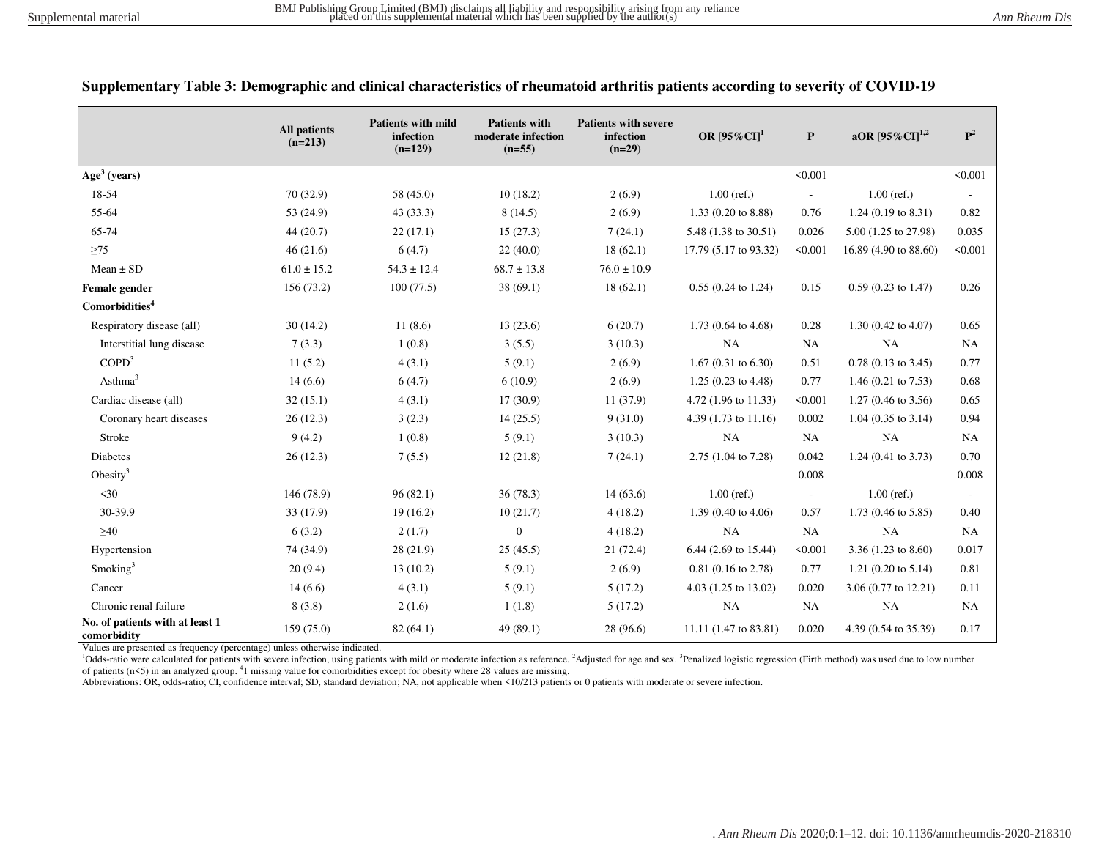|                                                | <b>All patients</b><br>$(n=213)$ | <b>Patients with mild</b><br>infection<br>$(n=129)$ | <b>Patients with</b><br>moderate infection<br>$(n=55)$ | <b>Patients with severe</b><br>infection<br>$(n=29)$ | OR $[95\%$ CI] <sup>1</sup>     | P                        | aOR $[95\%$ CI] <sup>1,2</sup> | $\mathbf{P}^2$           |
|------------------------------------------------|----------------------------------|-----------------------------------------------------|--------------------------------------------------------|------------------------------------------------------|---------------------------------|--------------------------|--------------------------------|--------------------------|
| $Age3$ (years)                                 |                                  |                                                     |                                                        |                                                      |                                 | < 0.001                  |                                | < 0.001                  |
| 18-54                                          | 70 (32.9)                        | 58 (45.0)                                           | 10(18.2)                                               | 2(6.9)                                               | $1.00$ (ref.)                   | $\overline{\phantom{a}}$ | $1.00$ (ref.)                  |                          |
| 55-64                                          | 53 (24.9)                        | 43(33.3)                                            | 8(14.5)                                                | 2(6.9)                                               | $1.33(0.20 \text{ to } 8.88)$   | 0.76                     | $1.24$ (0.19 to 8.31)          | 0.82                     |
| 65-74                                          | 44(20.7)                         | 22(17.1)                                            | 15(27.3)                                               | 7(24.1)                                              | 5.48 (1.38 to 30.51)            | 0.026                    | 5.00 (1.25 to 27.98)           | 0.035                    |
| $\geq$ 75                                      | 46(21.6)                         | 6(4.7)                                              | 22(40.0)                                               | 18(62.1)                                             | 17.79 (5.17 to 93.32)           | < 0.001                  | 16.89 (4.90 to 88.60)          | < 0.001                  |
| $Mean \pm SD$                                  | $61.0 \pm 15.2$                  | $54.3 \pm 12.4$                                     | $68.7 \pm 13.8$                                        | $76.0 \pm 10.9$                                      |                                 |                          |                                |                          |
| Female gender                                  | 156 (73.2)                       | 100(77.5)                                           | 38(69.1)                                               | 18(62.1)                                             | $0.55(0.24 \text{ to } 1.24)$   | 0.15                     | $0.59(0.23 \text{ to } 1.47)$  | 0.26                     |
| Comorbidities <sup>4</sup>                     |                                  |                                                     |                                                        |                                                      |                                 |                          |                                |                          |
| Respiratory disease (all)                      | 30(14.2)                         | 11(8.6)                                             | 13(23.6)                                               | 6(20.7)                                              | $1.73(0.64 \text{ to } 4.68)$   | 0.28                     | $1.30(0.42 \text{ to } 4.07)$  | 0.65                     |
| Interstitial lung disease                      | 7(3.3)                           | 1(0.8)                                              | 3(5.5)                                                 | 3(10.3)                                              | <b>NA</b>                       | <b>NA</b>                | <b>NA</b>                      | <b>NA</b>                |
| COPD <sup>3</sup>                              | 11(5.2)                          | 4(3.1)                                              | 5(9.1)                                                 | 2(6.9)                                               | 1.67 $(0.31 \text{ to } 6.30)$  | 0.51                     | $0.78(0.13 \text{ to } 3.45)$  | 0.77                     |
| Asthma <sup>3</sup>                            | 14(6.6)                          | 6(4.7)                                              | 6(10.9)                                                | 2(6.9)                                               | $1.25(0.23 \text{ to } 4.48)$   | 0.77                     | 1.46 (0.21 to 7.53)            | 0.68                     |
| Cardiac disease (all)                          | 32(15.1)                         | 4(3.1)                                              | 17(30.9)                                               | 11(37.9)                                             | 4.72 (1.96 to 11.33)            | < 0.001                  | $1.27(0.46 \text{ to } 3.56)$  | 0.65                     |
| Coronary heart diseases                        | 26(12.3)                         | 3(2.3)                                              | 14(25.5)                                               | 9(31.0)                                              | 4.39 $(1.73 \text{ to } 11.16)$ | 0.002                    | $1.04$ (0.35 to 3.14)          | 0.94                     |
| Stroke                                         | 9(4.2)                           | 1(0.8)                                              | 5(9.1)                                                 | 3(10.3)                                              | NA                              | <b>NA</b>                | <b>NA</b>                      | <b>NA</b>                |
| Diabetes                                       | 26(12.3)                         | 7(5.5)                                              | 12(21.8)                                               | 7(24.1)                                              | 2.75 (1.04 to 7.28)             | 0.042                    | 1.24 (0.41 to 3.73)            | 0.70                     |
| Obesity <sup>3</sup>                           |                                  |                                                     |                                                        |                                                      |                                 | 0.008                    |                                | 0.008                    |
| $\leq 30$                                      | 146 (78.9)                       | 96(82.1)                                            | 36(78.3)                                               | 14(63.6)                                             | $1.00$ (ref.)                   | $\overline{\phantom{a}}$ | $1.00$ (ref.)                  | $\overline{\phantom{a}}$ |
| 30-39.9                                        | 33 (17.9)                        | 19(16.2)                                            | 10(21.7)                                               | 4(18.2)                                              | 1.39 $(0.40 \text{ to } 4.06)$  | 0.57                     | 1.73 (0.46 to 5.85)            | 0.40                     |
| $\geq 40$                                      | 6(3.2)                           | 2(1.7)                                              | $\boldsymbol{0}$                                       | 4(18.2)                                              | <b>NA</b>                       | <b>NA</b>                | <b>NA</b>                      | NA                       |
| Hypertension                                   | 74 (34.9)                        | 28(21.9)                                            | 25(45.5)                                               | 21(72.4)                                             | 6.44 (2.69 to 15.44)            | < 0.001                  | 3.36 $(1.23 \text{ to } 8.60)$ | 0.017                    |
| Smoking <sup>3</sup>                           | 20(9.4)                          | 13(10.2)                                            | 5(9.1)                                                 | 2(6.9)                                               | $0.81(0.16 \text{ to } 2.78)$   | 0.77                     | 1.21 (0.20 to $5.14$ )         | 0.81                     |
| Cancer                                         | 14(6.6)                          | 4(3.1)                                              | 5(9.1)                                                 | 5(17.2)                                              | 4.03 (1.25 to 13.02)            | 0.020                    | 3.06 (0.77 to 12.21)           | 0.11                     |
| Chronic renal failure                          | 8(3.8)                           | 2(1.6)                                              | 1(1.8)                                                 | 5(17.2)                                              | $_{\rm NA}$                     | <b>NA</b>                | <b>NA</b>                      | NA                       |
| No. of patients with at least 1<br>comorbidity | 159 (75.0)                       | 82(64.1)                                            | 49 (89.1)                                              | 28 (96.6)                                            | 11.11 (1.47 to 83.81)           | 0.020                    | 4.39 (0.54 to 35.39)           | 0.17                     |

| Supplementary Table 3: Demographic and clinical characteristics of rheumatoid arthritis patients according to severity of COVID-19 |  |  |  |  |
|------------------------------------------------------------------------------------------------------------------------------------|--|--|--|--|
|------------------------------------------------------------------------------------------------------------------------------------|--|--|--|--|

Values are presented as frequency (percentage) unless otherwise indicated.

<sup>1</sup>Odds-ratio were calculated for patients with severe infection, using patients with mild or moderate infection as reference. <sup>2</sup>Adjusted for age and sex. <sup>3</sup>Penalized logistic regression (Firth method) was used due to lo of patients  $(n \le 5)$  in an analyzed group. <sup>4</sup>1 missing value for comorbidities except for obesity where 28 values are missing.

Abbreviations: OR, odds-ratio; CI, confidence interval; SD, standard deviation; NA, not applicable when <10/213 patients or 0 patients with moderate or severe infection.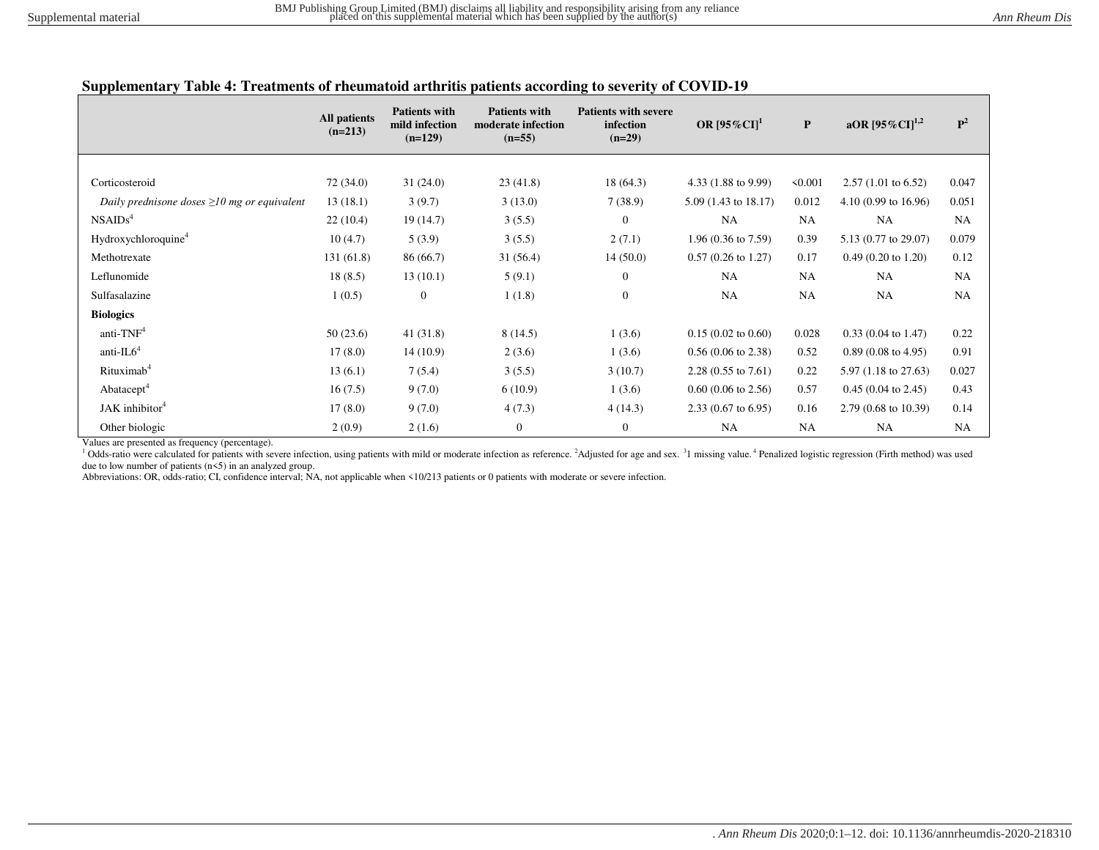## **Supplementary Table 4: Treatments of rheumatoid arthritis patients according to severity of COVID-19**

|                                                   | All patients<br>$(n=213)$ | <b>Patients with</b><br>mild infection<br>$(n=129)$ | <b>Patients with</b><br>moderate infection<br>$(n=55)$ | <b>Patients with severe</b><br>infection<br>$(n=29)$ | OR $[95\%$ CI] <sup>1</sup>    | $\mathbf{P}$ | aOR $[95\%CI]^{1,2}$           | $\mathbf{P}^2$ |
|---------------------------------------------------|---------------------------|-----------------------------------------------------|--------------------------------------------------------|------------------------------------------------------|--------------------------------|--------------|--------------------------------|----------------|
|                                                   |                           |                                                     |                                                        |                                                      |                                |              |                                |                |
| Corticosteroid                                    | 72 (34.0)                 | 31(24.0)                                            | 23(41.8)                                               | 18(64.3)                                             | 4.33 (1.88 to 9.99)            | 50.001       | $2.57(1.01 \text{ to } 6.52)$  | 0.047          |
| Daily prednisone doses $\geq 10$ mg or equivalent | 13(18.1)                  | 3(9.7)                                              | 3(13.0)                                                | 7(38.9)                                              | $5.09(1.43 \text{ to } 18.17)$ | 0.012        | $4.10(0.99)$ to $16.96$ )      | 0.051          |
| NSAIDS <sup>4</sup>                               | 22(10.4)                  | 19(14.7)                                            | 3(5.5)                                                 | $\theta$                                             | NA                             | <b>NA</b>    | <b>NA</b>                      | <b>NA</b>      |
| Hydroxychloroquine <sup>4</sup>                   | 10(4.7)                   | 5(3.9)                                              | 3(5.5)                                                 | 2(7.1)                                               | $1.96(0.36 \text{ to } 7.59)$  | 0.39         | 5.13 (0.77 to 29.07)           | 0.079          |
| Methotrexate                                      | 131(61.8)                 | 86 (66.7)                                           | 31(56.4)                                               | 14(50.0)                                             | $0.57(0.26 \text{ to } 1.27)$  | 0.17         | $0.49(0.20 \text{ to } 1.20)$  | 0.12           |
| Leflunomide                                       | 18(8.5)                   | 13(10.1)                                            | 5(9.1)                                                 | $\mathbf{0}$                                         | NA                             | <b>NA</b>    | <b>NA</b>                      | <b>NA</b>      |
| Sulfasalazine                                     | 1(0.5)                    | $\mathbf{0}$                                        | 1(1.8)                                                 | $\boldsymbol{0}$                                     | NA                             | <b>NA</b>    | <b>NA</b>                      | <b>NA</b>      |
| <b>Biologics</b>                                  |                           |                                                     |                                                        |                                                      |                                |              |                                |                |
| anti-TNF <sup>4</sup>                             | 50(23.6)                  | 41(31.8)                                            | 8(14.5)                                                | 1(3.6)                                               | $0.15(0.02 \text{ to } 0.60)$  | 0.028        | $0.33(0.04 \text{ to } 1.47)$  | 0.22           |
| anti- $IL64$                                      | 17(8.0)                   | 14(10.9)                                            | 2(3.6)                                                 | 1(3.6)                                               | $0.56(0.06 \text{ to } 2.38)$  | 0.52         | $0.89(0.08 \text{ to } 4.95)$  | 0.91           |
| Rituximab <sup>4</sup>                            | 13(6.1)                   | 7(5.4)                                              | 3(5.5)                                                 | 3(10.7)                                              | $2.28(0.55 \text{ to } 7.61)$  | 0.22         | $5.97(1.18 \text{ to } 27.63)$ | 0.027          |
| Abatacept <sup>4</sup>                            | 16(7.5)                   | 9(7.0)                                              | 6(10.9)                                                | 1(3.6)                                               | $0.60$ (0.06 to 2.56)          | 0.57         | $0.45(0.04 \text{ to } 2.45)$  | 0.43           |
| JAK inhibitor <sup>4</sup>                        | 17(8.0)                   | 9(7.0)                                              | 4(7.3)                                                 | 4(14.3)                                              | $2.33(0.67 \text{ to } 6.95)$  | 0.16         | $2.79(0.68 \text{ to } 10.39)$ | 0.14           |
| Other biologic                                    | 2(0.9)                    | 2(1.6)                                              | $\boldsymbol{0}$                                       | $\mathbf{0}$                                         | NA                             | <b>NA</b>    | <b>NA</b>                      | <b>NA</b>      |

Values are presented as frequency (percentage).

<sup>1</sup> Odds-ratio were calculated for patients with severe infection, using patients with mild or moderate infection as reference. <sup>2</sup>Adjusted for age and sex. <sup>3</sup>1 missing value. <sup>4</sup> Penalized logistic regression (Firth meth due to low number of patients  $(n\leq 5)$  in an analyzed group.

Abbreviations: OR, odds-ratio; CI, confidence interval; NA, not applicable when <10/213 patients or 0 patients with moderate or severe infection.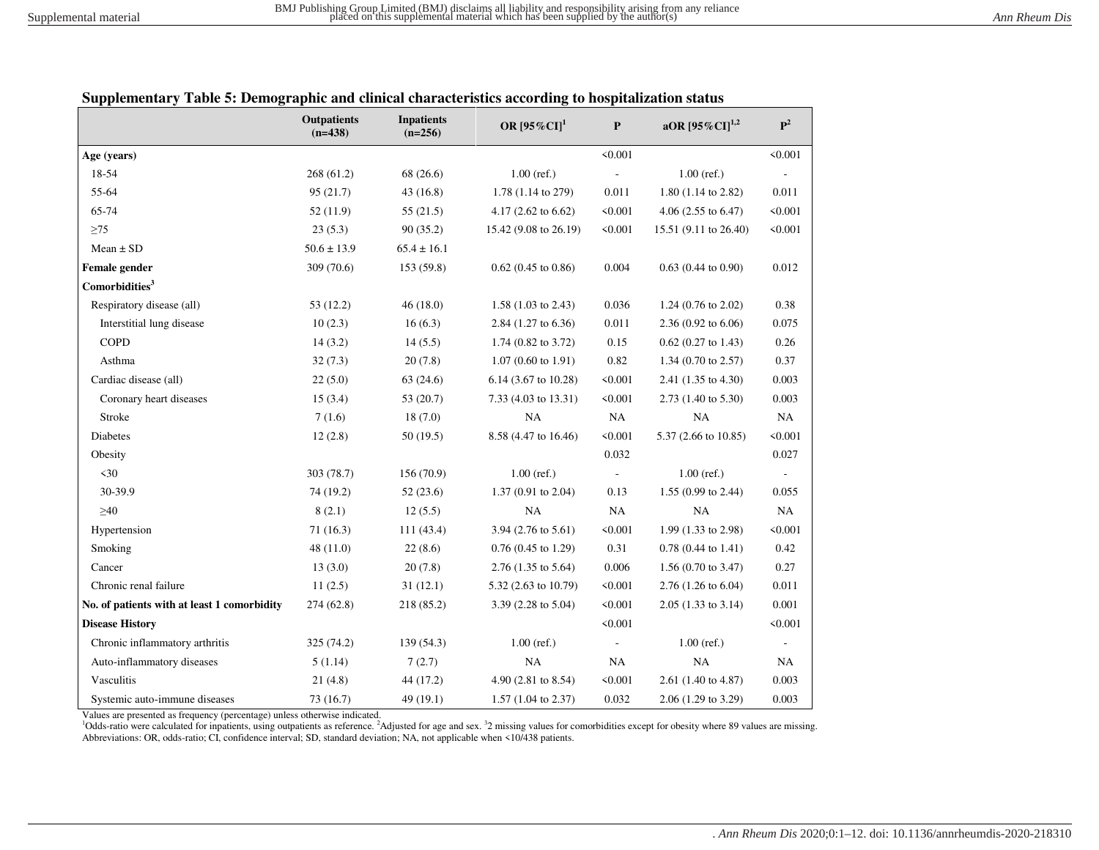|                                             | <b>Outpatients</b><br>$(n=438)$ | <b>Inpatients</b><br>$(n=256)$ | OR $[95\%CI]$ <sup>1</sup>     | $\mathbf{P}$             | aOR $[95\%$ CI] <sup>1,2</sup> | $\mathbf{P}^2$           |
|---------------------------------------------|---------------------------------|--------------------------------|--------------------------------|--------------------------|--------------------------------|--------------------------|
| Age (years)                                 |                                 |                                |                                | < 0.001                  |                                | < 0.001                  |
| 18-54                                       | 268(61.2)                       | 68 (26.6)                      | $1.00$ (ref.)                  |                          | $1.00$ (ref.)                  |                          |
| 55-64                                       | 95(21.7)                        | 43(16.8)                       | 1.78 (1.14 to 279)             | 0.011                    | 1.80 (1.14 to 2.82)            | 0.011                    |
| 65-74                                       | 52(11.9)                        | 55(21.5)                       | 4.17 $(2.62 \text{ to } 6.62)$ | < 0.001                  | 4.06 $(2.55 \text{ to } 6.47)$ | < 0.001                  |
| $\geq$ 75                                   | 23(5.3)                         | 90(35.2)                       | 15.42 (9.08 to 26.19)          | < 0.001                  | 15.51 (9.11 to 26.40)          | < 0.001                  |
| $Mean \pm SD$                               | $50.6 \pm 13.9$                 | $65.4 \pm 16.1$                |                                |                          |                                |                          |
| Female gender                               | 309 (70.6)                      | 153 (59.8)                     | $0.62$ (0.45 to 0.86)          | 0.004                    | $0.63$ (0.44 to 0.90)          | 0.012                    |
| Comorbidities <sup>3</sup>                  |                                 |                                |                                |                          |                                |                          |
| Respiratory disease (all)                   | 53(12.2)                        | 46(18.0)                       | $1.58(1.03 \text{ to } 2.43)$  | 0.036                    | 1.24 $(0.76 \text{ to } 2.02)$ | 0.38                     |
| Interstitial lung disease                   | 10(2.3)                         | 16(6.3)                        | 2.84 (1.27 to 6.36)            | 0.011                    | $2.36(0.92 \text{ to } 6.06)$  | 0.075                    |
| <b>COPD</b>                                 | 14(3.2)                         | 14(5.5)                        | $1.74$ (0.82 to 3.72)          | 0.15                     | $0.62$ (0.27 to 1.43)          | 0.26                     |
| Asthma                                      | 32(7.3)                         | 20(7.8)                        | $1.07(0.60 \text{ to } 1.91)$  | 0.82                     | 1.34 $(0.70 \text{ to } 2.57)$ | 0.37                     |
| Cardiac disease (all)                       | 22(5.0)                         | 63(24.6)                       | 6.14 (3.67 to 10.28)           | < 0.001                  | 2.41 (1.35 to 4.30)            | 0.003                    |
| Coronary heart diseases                     | 15(3.4)                         | 53(20.7)                       | 7.33 (4.03 to 13.31)           | < 0.001                  | 2.73 (1.40 to 5.30)            | 0.003                    |
| Stroke                                      | 7(1.6)                          | 18(7.0)                        | <b>NA</b>                      | NA                       | NA                             | NA                       |
| Diabetes                                    | 12(2.8)                         | 50(19.5)                       | 8.58 (4.47 to 16.46)           | < 0.001                  | 5.37 (2.66 to 10.85)           | < 0.001                  |
| Obesity                                     |                                 |                                |                                | 0.032                    |                                | 0.027                    |
| $30$                                        | 303 (78.7)                      | 156 (70.9)                     | $1.00$ (ref.)                  | $\overline{\phantom{a}}$ | $1.00$ (ref.)                  | $\overline{\phantom{a}}$ |
| 30-39.9                                     | 74 (19.2)                       | 52(23.6)                       | 1.37 (0.91 to 2.04)            | 0.13                     | 1.55 (0.99 to 2.44)            | 0.055                    |
| $\geq 40$                                   | 8(2.1)                          | 12(5.5)                        | NA                             | NA                       | <b>NA</b>                      | NA                       |
| Hypertension                                | 71(16.3)                        | 111(43.4)                      | 3.94 (2.76 to 5.61)            | < 0.001                  | 1.99 (1.33 to 2.98)            | < 0.001                  |
| Smoking                                     | 48(11.0)                        | 22(8.6)                        | $0.76(0.45 \text{ to } 1.29)$  | 0.31                     | $0.78$ (0.44 to 1.41)          | 0.42                     |
| Cancer                                      | 13(3.0)                         | 20(7.8)                        | 2.76 (1.35 to 5.64)            | 0.006                    | 1.56 $(0.70 \text{ to } 3.47)$ | 0.27                     |
| Chronic renal failure                       | 11(2.5)                         | 31(12.1)                       | 5.32 (2.63 to 10.79)           | < 0.001                  | 2.76 (1.26 to 6.04)            | 0.011                    |
| No. of patients with at least 1 comorbidity | 274 (62.8)                      | 218 (85.2)                     | 3.39 (2.28 to 5.04)            | < 0.001                  | $2.05(1.33 \text{ to } 3.14)$  | 0.001                    |
| <b>Disease History</b>                      |                                 |                                |                                | < 0.001                  |                                | < 0.001                  |
| Chronic inflammatory arthritis              | 325 (74.2)                      | 139(54.3)                      | $1.00$ (ref.)                  |                          | $1.00$ (ref.)                  |                          |
| Auto-inflammatory diseases                  | 5(1.14)                         | 7(2.7)                         | NA                             | NA                       | NA                             | $\rm NA$                 |
| Vasculitis                                  | 21(4.8)                         | 44 (17.2)                      | 4.90 (2.81 to 8.54)            | < 0.001                  | 2.61 (1.40 to 4.87)            | 0.003                    |
| Systemic auto-immune diseases               | 73(16.7)                        | 49 (19.1)                      | $1.57$ (1.04 to 2.37)          | 0.032                    | 2.06 (1.29 to 3.29)            | 0.003                    |

#### **Supplementary Table 5: Demographic and clinical characteristics according to hospitalization status**

Values are presented as frequency (percentage) unless otherwise indicated.

<sup>1</sup>Odds-ratio were calculated for inpatients, using outpatients as reference. <sup>2</sup>Adjusted for age and sex. <sup>32</sup> missing values for comorbidities except for obesity where 89 values are missing. Abbreviations: OR, odds-ratio; CI, confidence interval; SD, standard deviation; NA, not applicable when <10/438 patients.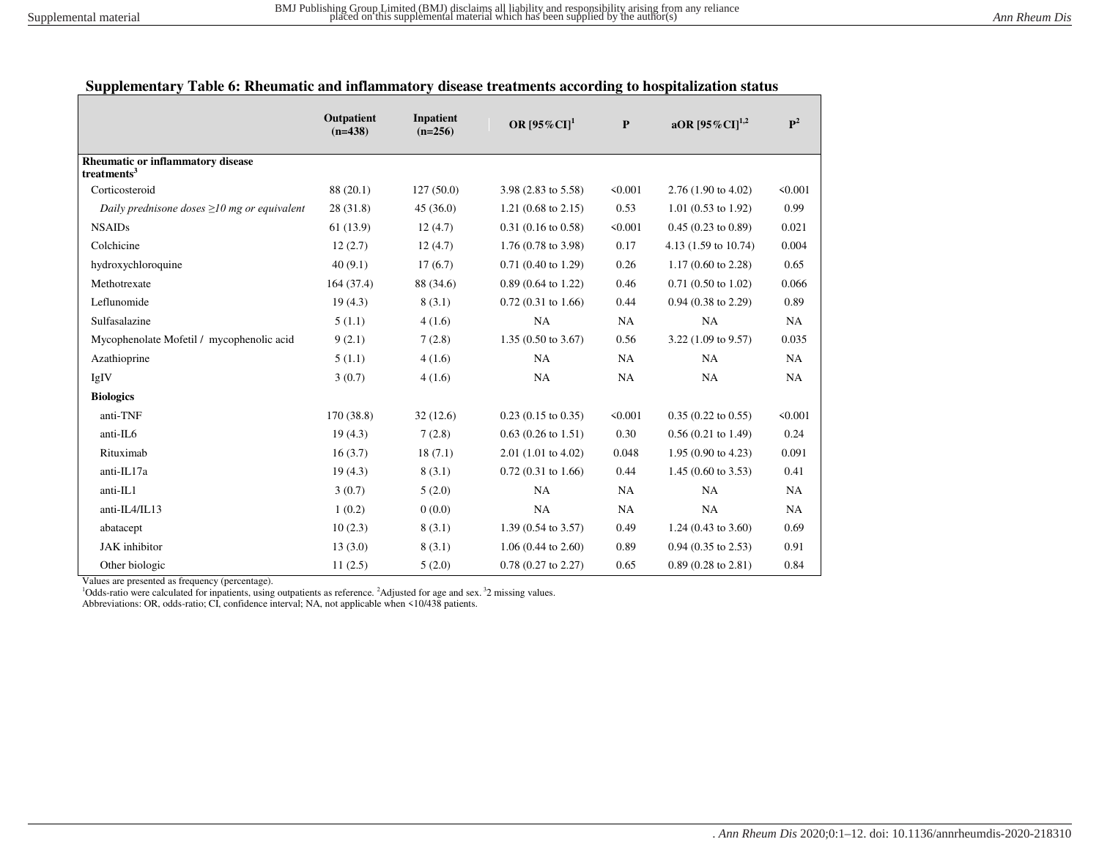# **Supplementary Table 6: Rheumatic and inflammatory disease treatments according to hospitalization status**

|                                                                     | Outpatient<br>$(n=438)$ | <b>Inpatient</b><br>$(n=256)$ | OR $[95\%$ CI] <sup>1</sup>    | $\mathbf{P}$ | aOR $[95\%$ CI] <sup>1,2</sup>  | $\mathbf{P}^2$ |
|---------------------------------------------------------------------|-------------------------|-------------------------------|--------------------------------|--------------|---------------------------------|----------------|
| <b>Rheumatic or inflammatory disease</b><br>treatments <sup>3</sup> |                         |                               |                                |              |                                 |                |
| Corticosteroid                                                      | 88 (20.1)               | 127(50.0)                     | 3.98 (2.83 to 5.58)            | < 0.001      | $2.76(1.90 \text{ to } 4.02)$   | < 0.001        |
| Daily prednisone doses $\geq 10$ mg or equivalent                   | 28(31.8)                | 45(36.0)                      | 1.21 $(0.68 \text{ to } 2.15)$ | 0.53         | $1.01$ (0.53 to 1.92)           | 0.99           |
| <b>NSAIDs</b>                                                       | 61(13.9)                | 12(4.7)                       | $0.31(0.16 \text{ to } 0.58)$  | < 0.001      | $0.45(0.23 \text{ to } 0.89)$   | 0.021          |
| Colchicine                                                          | 12(2.7)                 | 12(4.7)                       | $1.76(0.78 \text{ to } 3.98)$  | 0.17         | 4.13 $(1.59 \text{ to } 10.74)$ | 0.004          |
| hydroxychloroquine                                                  | 40(9.1)                 | 17(6.7)                       | $0.71(0.40 \text{ to } 1.29)$  | 0.26         | $1.17(0.60 \text{ to } 2.28)$   | 0.65           |
| Methotrexate                                                        | 164(37.4)               | 88 (34.6)                     | $0.89(0.64 \text{ to } 1.22)$  | 0.46         | $0.71(0.50 \text{ to } 1.02)$   | 0.066          |
| Leflunomide                                                         | 19(4.3)                 | 8(3.1)                        | $0.72(0.31)$ to 1.66)          | 0.44         | $0.94$ $(0.38$ to $2.29)$       | 0.89           |
| Sulfasalazine                                                       | 5(1.1)                  | 4(1.6)                        | NA                             | NA           | NA                              | NA             |
| Mycophenolate Mofetil / mycophenolic acid                           | 9(2.1)                  | 7(2.8)                        | 1.35 (0.50 to 3.67)            | 0.56         | 3.22 (1.09 to 9.57)             | 0.035          |
| Azathioprine                                                        | 5(1.1)                  | 4(1.6)                        | NA                             | NA           | NA                              | NA             |
| IgIV                                                                | 3(0.7)                  | 4(1.6)                        | NA                             | NA           | NA                              | NA             |
| <b>Biologics</b>                                                    |                         |                               |                                |              |                                 |                |
| anti-TNF                                                            | 170(38.8)               | 32(12.6)                      | $0.23$ (0.15 to 0.35)          | < 0.001      | $0.35(0.22 \text{ to } 0.55)$   | < 0.001        |
| anti-IL6                                                            | 19(4.3)                 | 7(2.8)                        | $0.63$ (0.26 to 1.51)          | 0.30         | $0.56(0.21 \text{ to } 1.49)$   | 0.24           |
| Rituximab                                                           | 16(3.7)                 | 18(7.1)                       | $2.01(1.01)$ to $4.02$ )       | 0.048        | 1.95 (0.90 to 4.23)             | 0.091          |
| anti-IL17a                                                          | 19(4.3)                 | 8(3.1)                        | $0.72(0.31)$ to 1.66)          | 0.44         | 1.45 $(0.60 \text{ to } 3.53)$  | 0.41           |
| anti-IL1                                                            | 3(0.7)                  | 5(2.0)                        | NA                             | NA           | NA                              | NA             |
| anti-IL4/IL13                                                       | 1(0.2)                  | 0(0.0)                        | NA                             | NA           | NA                              | NA             |
| abatacept                                                           | 10(2.3)                 | 8(3.1)                        | 1.39 (0.54 to 3.57)            | 0.49         | 1.24 (0.43 to $3.60$ )          | 0.69           |
| <b>JAK</b> inhibitor                                                | 13(3.0)                 | 8(3.1)                        | $1.06(0.44 \text{ to } 2.60)$  | 0.89         | $0.94$ $(0.35$ to $2.53)$       | 0.91           |
| Other biologic                                                      | 11(2.5)                 | 5(2.0)                        | $0.78$ $(0.27$ to $2.27)$      | 0.65         | $0.89(0.28 \text{ to } 2.81)$   | 0.84           |

Values are presented as frequency (percentage).

<sup>1</sup>Odds-ratio were calculated for inpatients, using outpatients as reference. <sup>2</sup>Adjusted for age and sex.<sup>3</sup>2 missing values.

Abbreviations: OR, odds-ratio; CI, confidence interval; NA, not applicable when <10/438 patients.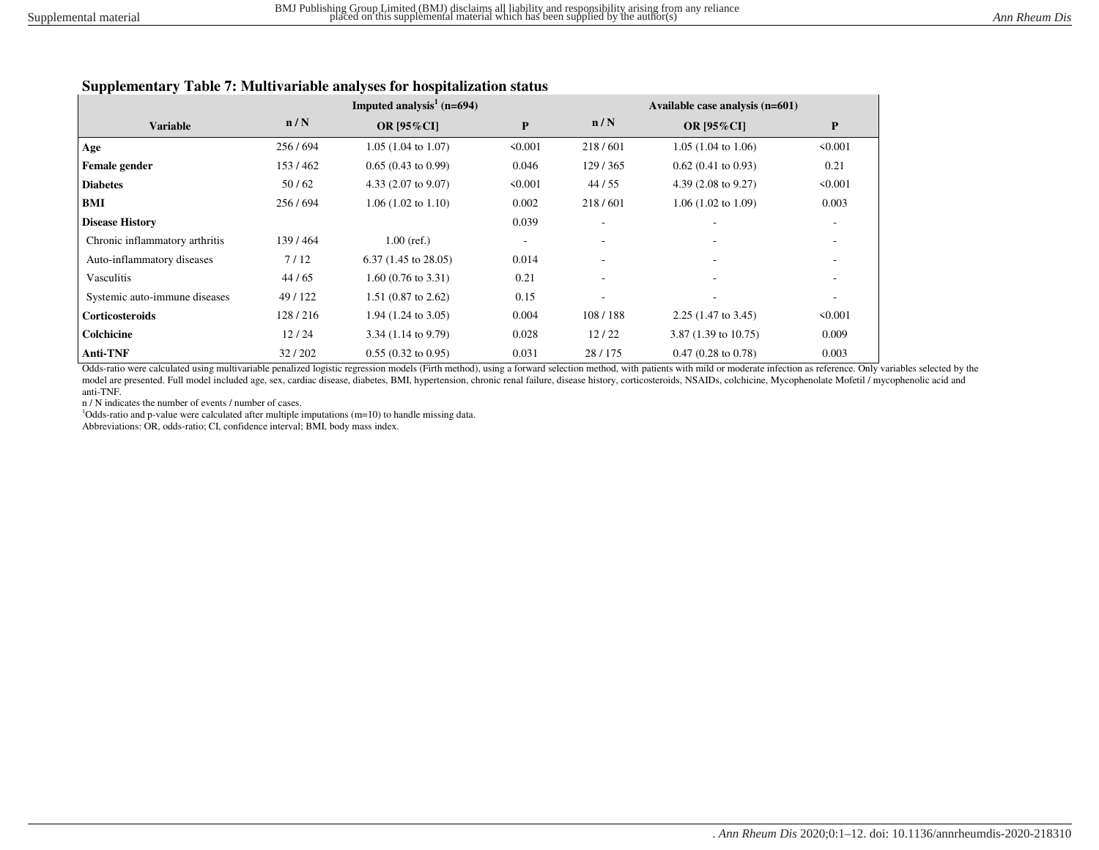### **Supplementary Table 7: Multivariable analyses for hospitalization status**

|                                |         | Imputed analysis <sup>1</sup> ( $n=694$ ) |           |                          | Available case analysis (n=601) |                          |
|--------------------------------|---------|-------------------------------------------|-----------|--------------------------|---------------------------------|--------------------------|
| <b>Variable</b>                | n/N     | <b>OR [95%CI]</b>                         | ${\bf P}$ | n/N                      | <b>OR [95%CI]</b>               | ${\bf P}$                |
| Age                            | 256/694 | $1.05(1.04 \text{ to } 1.07)$             | < 0.001   | 218/601                  | $1.05(1.04 \text{ to } 1.06)$   | < 0.001                  |
| Female gender                  | 153/462 | $0.65(0.43 \text{ to } 0.99)$             | 0.046     | 129/365                  | $0.62(0.41 \text{ to } 0.93)$   | 0.21                     |
| <b>Diabetes</b>                | 50/62   | 4.33 $(2.07 \text{ to } 9.07)$            | < 0.001   | 44/55                    | 4.39 $(2.08 \text{ to } 9.27)$  | < 0.001                  |
| BMI                            | 256/694 | $1.06(1.02 \text{ to } 1.10)$             | 0.002     | 218/601                  | $1.06(1.02 \text{ to } 1.09)$   | 0.003                    |
| <b>Disease History</b>         |         |                                           | 0.039     |                          |                                 | $\overline{\phantom{a}}$ |
| Chronic inflammatory arthritis | 139/464 | $1.00$ (ref.)                             |           | $\overline{\phantom{a}}$ |                                 | $\overline{\phantom{a}}$ |
| Auto-inflammatory diseases     | 7/12    | $6.37(1.45 \text{ to } 28.05)$            | 0.014     |                          |                                 |                          |
| Vasculitis                     | 44/65   | $1.60(0.76 \text{ to } 3.31)$             | 0.21      |                          |                                 |                          |
| Systemic auto-immune diseases  | 49/122  | $1.51$ (0.87 to 2.62)                     | 0.15      | $\overline{\phantom{a}}$ | $\overline{\phantom{a}}$        |                          |
| <b>Corticosteroids</b>         | 128/216 | $1.94$ (1.24 to 3.05)                     | 0.004     | 108/188                  | $2.25(1.47 \text{ to } 3.45)$   | < 0.001                  |
| Colchicine                     | 12/24   | $3.34(1.14 \text{ to } 9.79)$             | 0.028     | 12/22                    | 3.87 $(1.39 \text{ to } 10.75)$ | 0.009                    |
| <b>Anti-TNF</b>                | 32/202  | $0.55(0.32 \text{ to } 0.95)$             | 0.031     | 28/175                   | $0.47(0.28 \text{ to } 0.78)$   | 0.003                    |

Odds-ratio were calculated using multivariable penalized logistic regression models (Firth method), using a forward selection method, with patients with mild or moderate infection as reference. Only variables selected by the model are presented. Full model included age, sex, cardiac disease, diabetes, BMI, hypertension, chronic renal failure, disease history, corticosteroids, NSAIDs, colchicine, Mycophenolate Mofetil / mycophenolic acid and anti-TNF.

n / N indicates the number of events / number of cases.

<sup>1</sup>Odds-ratio and p-value were calculated after multiple imputations (m=10) to handle missing data.

Abbreviations: OR, odds-ratio; CI, confidence interval; BMI, body mass index.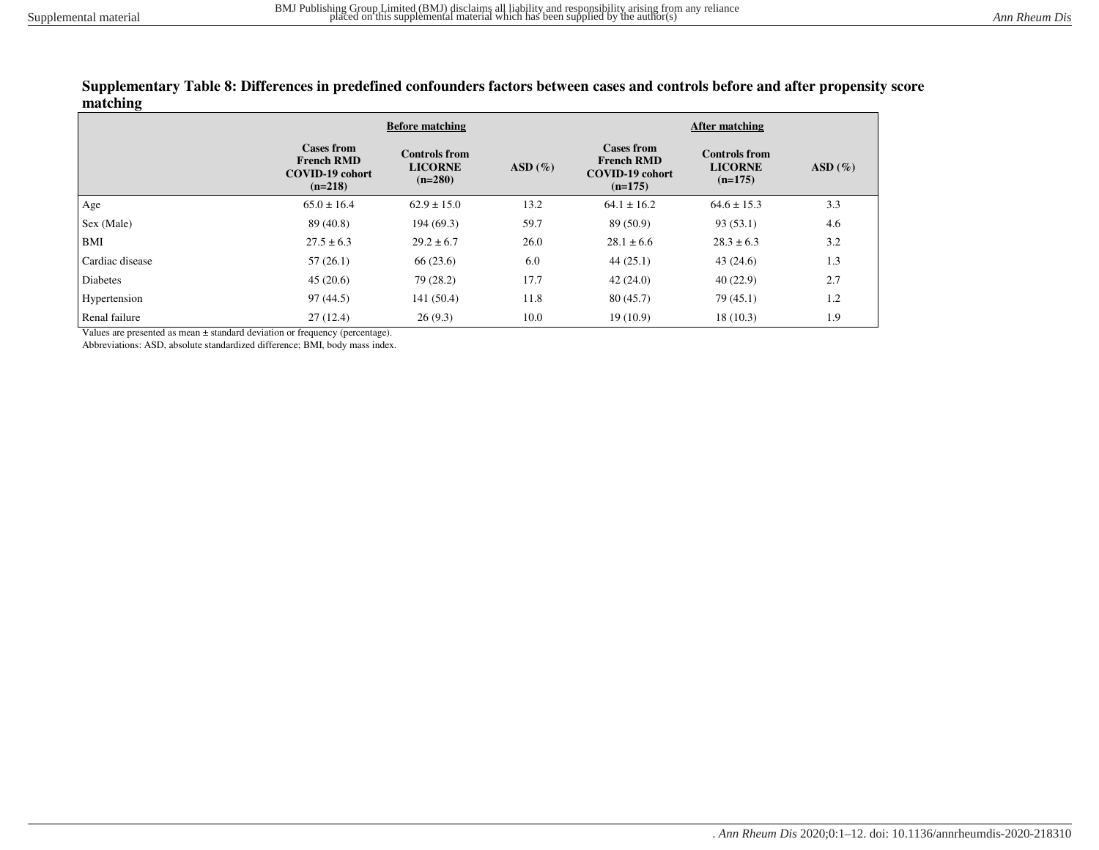#### **Supplementary Table 8: Differences in predefined confounders factors between cases and controls before and after propensity score matching**

|                 |                                                                               | <b>Before matching</b>                              |           | After matching                                                                |                                                     |           |  |  |
|-----------------|-------------------------------------------------------------------------------|-----------------------------------------------------|-----------|-------------------------------------------------------------------------------|-----------------------------------------------------|-----------|--|--|
|                 | <b>Cases from</b><br><b>French RMD</b><br><b>COVID-19 cohort</b><br>$(n=218)$ | <b>Controls from</b><br><b>LICORNE</b><br>$(n=280)$ | $ASD(\%)$ | <b>Cases from</b><br><b>French RMD</b><br><b>COVID-19 cohort</b><br>$(n=175)$ | <b>Controls from</b><br><b>LICORNE</b><br>$(n=175)$ | $ASD(\%)$ |  |  |
| Age             | $65.0 \pm 16.4$                                                               | $62.9 \pm 15.0$                                     | 13.2      | $64.1 \pm 16.2$                                                               | $64.6 \pm 15.3$                                     | 3.3       |  |  |
| Sex (Male)      | 89 (40.8)                                                                     | 194(69.3)                                           | 59.7      | 89 (50.9)                                                                     | 93(53.1)                                            | 4.6       |  |  |
| BMI             | $27.5 \pm 6.3$                                                                | $29.2 \pm 6.7$                                      | 26.0      | $28.1 \pm 6.6$                                                                | $28.3 \pm 6.3$                                      | 3.2       |  |  |
| Cardiac disease | 57(26.1)                                                                      | 66(23.6)                                            | 6.0       | 44(25.1)                                                                      | 43(24.6)                                            | 1.3       |  |  |
| <b>Diabetes</b> | 45(20.6)                                                                      | 79 (28.2)                                           | 17.7      | 42(24.0)                                                                      | 40(22.9)                                            | 2.7       |  |  |
| Hypertension    | 97(44.5)                                                                      | 141(50.4)                                           | 11.8      | 80(45.7)                                                                      | 79(45.1)                                            | 1.2       |  |  |
| Renal failure   | 27(12.4)                                                                      | 26(9.3)                                             | 10.0      | 19(10.9)                                                                      | 18(10.3)                                            | 1.9       |  |  |

Values are presented as mean ± standard deviation or frequency (percentage).

Abbreviations: ASD, absolute standardized difference; BMI, body mass index.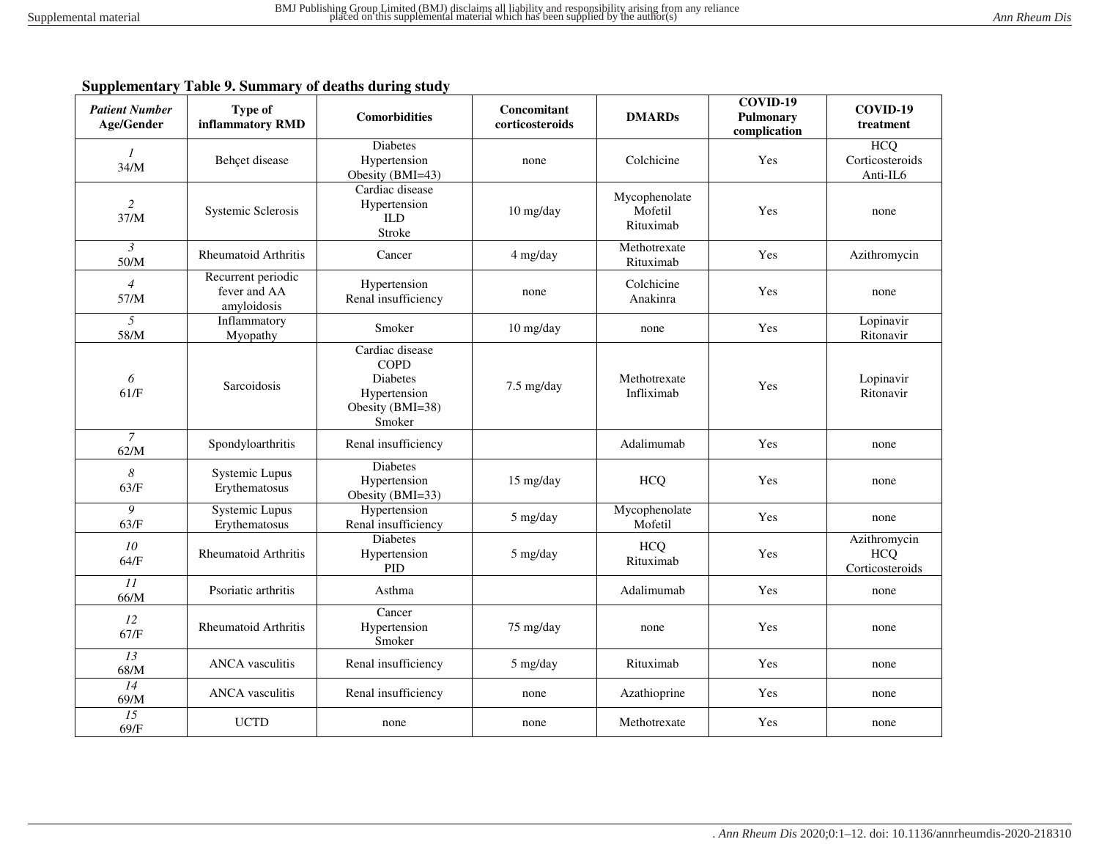## **Supplementary Table 9. Summary of deaths during study**

| <b>Patient Number</b><br>Age/Gender | <b>Type of</b><br>inflammatory RMD                | <b>Comorbidities</b>                                                                            | Concomitant<br>corticosteroids | <b>DMARDs</b>                         | COVID-19<br>Pulmonary<br>complication | COVID-19<br>treatment                         |
|-------------------------------------|---------------------------------------------------|-------------------------------------------------------------------------------------------------|--------------------------------|---------------------------------------|---------------------------------------|-----------------------------------------------|
| $\mathcal{I}$<br>34/M               | Behçet disease                                    | <b>Diabetes</b><br>Hypertension<br>Obesity (BMI=43)                                             | none                           | Colchicine                            | Yes                                   | <b>HCQ</b><br>Corticosteroids<br>Anti-IL6     |
| $\overline{c}$<br>37/M              | Systemic Sclerosis                                | Cardiac disease<br>Hypertension<br><b>ILD</b><br>Stroke                                         | 10 mg/day                      | Mycophenolate<br>Mofetil<br>Rituximab | Yes                                   | none                                          |
| $\mathfrak{Z}$<br>50/M              | <b>Rheumatoid Arthritis</b>                       | Cancer                                                                                          | 4 mg/day                       | Methotrexate<br>Rituximab             | Yes                                   | Azithromycin                                  |
| $\overline{4}$<br>57/M              | Recurrent periodic<br>fever and AA<br>amyloidosis | Hypertension<br>Renal insufficiency                                                             | none                           | Colchicine<br>Anakinra                | Yes                                   | none                                          |
| 5<br>58/M                           | Inflammatory<br>Myopathy                          | Smoker                                                                                          | $10$ mg/day                    | none                                  | Yes                                   | Lopinavir<br>Ritonavir                        |
| 6<br>61/F                           | Sarcoidosis                                       | Cardiac disease<br><b>COPD</b><br><b>Diabetes</b><br>Hypertension<br>Obesity (BMI=38)<br>Smoker | 7.5 mg/day                     | Methotrexate<br>Infliximab            | Yes                                   | Lopinavir<br>Ritonavir                        |
| $\overline{7}$<br>62/M              | Spondyloarthritis                                 | Renal insufficiency                                                                             |                                | Adalimumab                            | Yes                                   | none                                          |
| $\boldsymbol{8}$<br>63/F            | Systemic Lupus<br>Erythematosus                   | <b>Diabetes</b><br>Hypertension<br>Obesity (BMI=33)                                             | $15 \text{ mg/day}$            | <b>HCQ</b>                            | Yes                                   | none                                          |
| 9<br>63/F                           | Systemic Lupus<br>Erythematosus                   | Hypertension<br>Renal insufficiency                                                             | 5 mg/day                       | Mycophenolate<br>Mofetil              | Yes                                   | none                                          |
| 10<br>64/F                          | <b>Rheumatoid Arthritis</b>                       | <b>Diabetes</b><br>Hypertension<br><b>PID</b>                                                   | 5 mg/day                       | <b>HCQ</b><br>Rituximab               | Yes                                   | Azithromycin<br><b>HCQ</b><br>Corticosteroids |
| $\overline{11}$<br>66/M             | Psoriatic arthritis                               | Asthma                                                                                          |                                | Adalimumab                            | Yes                                   | none                                          |
| 12<br>67/F                          | <b>Rheumatoid Arthritis</b>                       | Cancer<br>Hypertension<br>Smoker                                                                | 75 mg/day                      | none                                  | Yes                                   | none                                          |
| 13<br>68/M                          | <b>ANCA</b> vasculitis                            | Renal insufficiency                                                                             | 5 mg/day                       | Rituximab                             | Yes                                   | none                                          |
| 14<br>69/M                          | <b>ANCA</b> vasculitis                            | Renal insufficiency                                                                             | none                           | Azathioprine                          | Yes                                   | none                                          |
| 15<br>69/F                          | <b>UCTD</b>                                       | none                                                                                            | none                           | Methotrexate                          | Yes                                   | none                                          |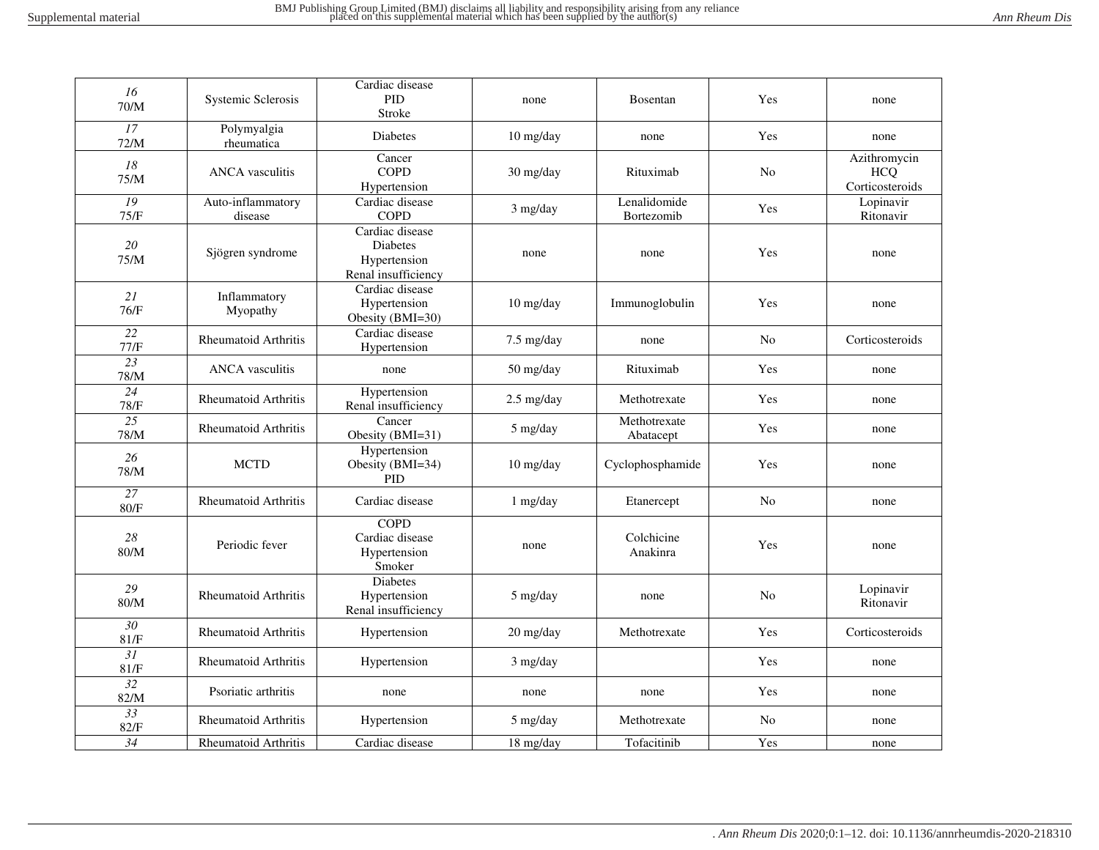| 16<br>$70/M$            | Systemic Sclerosis           | Cardiac disease<br><b>PID</b><br>Stroke                                   | none                              | <b>Bosentan</b>            | Yes            | none                                          |
|-------------------------|------------------------------|---------------------------------------------------------------------------|-----------------------------------|----------------------------|----------------|-----------------------------------------------|
| $\overline{17}$<br>72/M | Polymyalgia<br>rheumatica    | Diabetes                                                                  | 10 mg/day                         | none                       | Yes            | none                                          |
| ${\it 18}$<br>75/M      | <b>ANCA</b> vasculitis       | Cancer<br><b>COPD</b><br>Hypertension                                     | 30 mg/day                         | Rituximab                  | N <sub>o</sub> | Azithromycin<br><b>HCQ</b><br>Corticosteroids |
| 19<br>75/F              | Auto-inflammatory<br>disease | Cardiac disease<br><b>COPD</b>                                            | 3 mg/day                          | Lenalidomide<br>Bortezomib | Yes            | Lopinavir<br>Ritonavir                        |
| 20<br>75/M              | Sjögren syndrome             | Cardiac disease<br><b>Diabetes</b><br>Hypertension<br>Renal insufficiency | none                              | none                       | Yes            | none                                          |
| 21<br>76/F              | Inflammatory<br>Myopathy     | Cardiac disease<br>Hypertension<br>Obesity (BMI=30)                       | 10 mg/day                         | Immunoglobulin             | Yes            | none                                          |
| 22<br>77/F              | <b>Rheumatoid Arthritis</b>  | Cardiac disease<br>Hypertension                                           | $7.5 \text{ mg/day}$              | none                       | N <sub>0</sub> | Corticosteroids                               |
| 23<br>78/M              | <b>ANCA</b> vasculitis       | none                                                                      | $50 \frac{\text{mg}}{\text{day}}$ | Rituximab                  | Yes            | none                                          |
| 24<br>78/F              | <b>Rheumatoid Arthritis</b>  | Hypertension<br>Renal insufficiency                                       | $2.5$ mg/day                      | Methotrexate               | Yes            | none                                          |
| 25<br>78/M              | <b>Rheumatoid Arthritis</b>  | Cancer<br>Obesity (BMI=31)                                                | 5 mg/day                          | Methotrexate<br>Abatacept  | Yes            | none                                          |
| 26<br>$78/M$            | <b>MCTD</b>                  | Hypertension<br>Obesity (BMI=34)<br><b>PID</b>                            | 10 mg/day                         | Cyclophosphamide           | Yes            | none                                          |
| $\overline{27}$<br>80/F | <b>Rheumatoid Arthritis</b>  | Cardiac disease                                                           | $1$ mg/day                        | Etanercept                 | N <sub>o</sub> | none                                          |
| 28<br>80/M              | Periodic fever               | <b>COPD</b><br>Cardiac disease<br>Hypertension<br>Smoker                  | none                              | Colchicine<br>Anakinra     | Yes            | none                                          |
| 29<br>80/M              | Rheumatoid Arthritis         | <b>Diabetes</b><br>Hypertension<br>Renal insufficiency                    | 5 mg/day                          | none                       | No             | Lopinavir<br>Ritonavir                        |
| 30<br>81/F              | <b>Rheumatoid Arthritis</b>  | Hypertension                                                              | 20 mg/day                         | Methotrexate               | Yes            | Corticosteroids                               |
| 31<br>81/F              | <b>Rheumatoid Arthritis</b>  | Hypertension                                                              | 3 mg/day                          |                            | Yes            | none                                          |
| $\overline{32}$<br>82/M | Psoriatic arthritis          | none                                                                      | none                              | none                       | Yes            | none                                          |
| $\overline{33}$<br>82/F | Rheumatoid Arthritis         | Hypertension                                                              | 5 mg/day                          | Methotrexate               | No             | none                                          |
| 34                      | Rheumatoid Arthritis         | Cardiac disease                                                           | 18 mg/day                         | Tofacitinib                | Yes            | none                                          |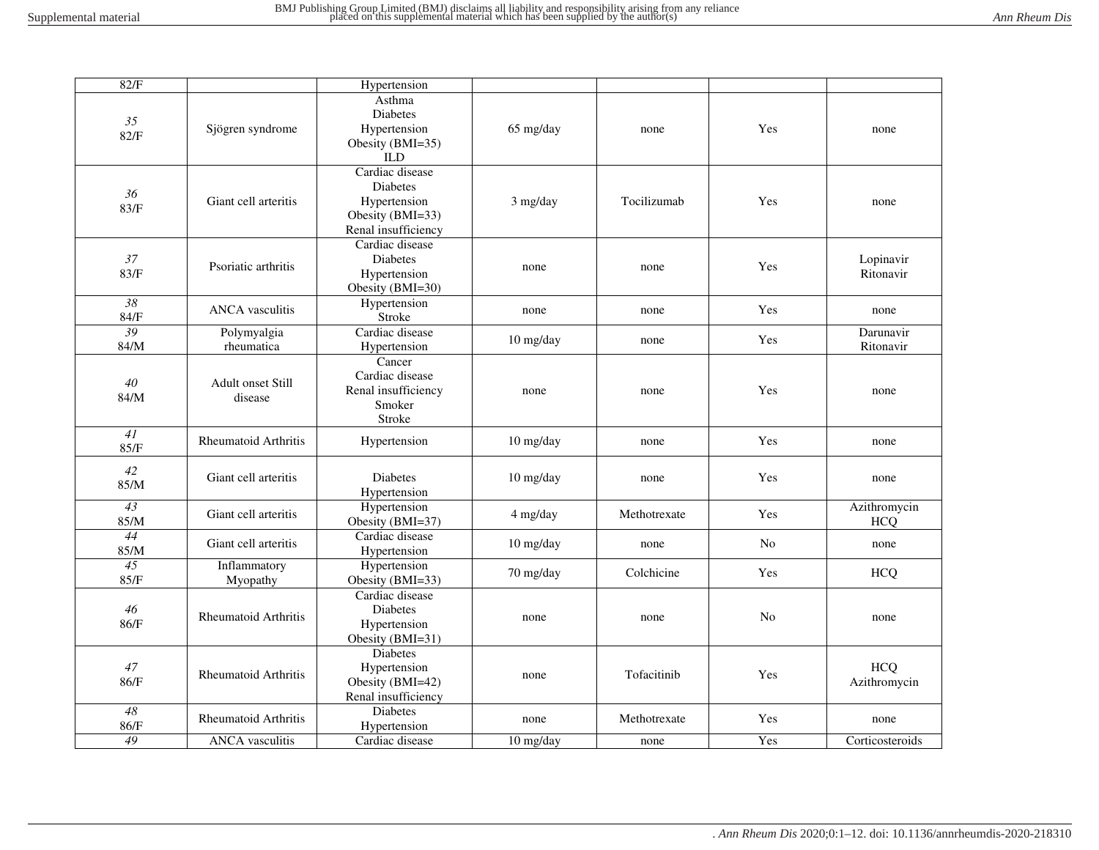| 82/F                    |                                     | Hypertension                                                                           |             |              |     |                            |
|-------------------------|-------------------------------------|----------------------------------------------------------------------------------------|-------------|--------------|-----|----------------------------|
| 35<br>82/F              | Sjögren syndrome                    | Asthma<br><b>Diabetes</b><br>Hypertension<br>Obesity (BMI=35)<br><b>ILD</b>            | 65 mg/day   | none         | Yes | none                       |
| 36<br>83/F              | Giant cell arteritis                | Cardiac disease<br>Diabetes<br>Hypertension<br>Obesity (BMI=33)<br>Renal insufficiency | 3 mg/day    | Tocilizumab  | Yes | none                       |
| 37<br>83/F              | Psoriatic arthritis                 | Cardiac disease<br><b>Diabetes</b><br>Hypertension<br>Obesity (BMI=30)                 | none        | none         | Yes | Lopinavir<br>Ritonavir     |
| $\overline{38}$<br>84/F | <b>ANCA</b> vasculitis              | Hypertension<br>Stroke                                                                 | none        | none         | Yes | none                       |
| 39<br>84/M              | Polymyalgia<br>rheumatica           | Cardiac disease<br>Hypertension                                                        | 10 mg/day   | none         | Yes | Darunavir<br>Ritonavir     |
| $40\,$<br>84/M          | <b>Adult onset Still</b><br>disease | Cancer<br>Cardiac disease<br>Renal insufficiency<br>Smoker<br>Stroke                   | none        | none         | Yes | none                       |
| 41<br>85/F              | <b>Rheumatoid Arthritis</b>         | Hypertension                                                                           | 10 mg/day   | none         | Yes | none                       |
| 42<br>85/M              | Giant cell arteritis                | <b>Diabetes</b><br>Hypertension                                                        | $10$ mg/day | none         | Yes | none                       |
| $\overline{43}$<br>85/M | Giant cell arteritis                | Hypertension<br>Obesity (BMI=37)                                                       | 4 mg/day    | Methotrexate | Yes | Azithromycin<br><b>HCQ</b> |
| 44<br>85/M              | Giant cell arteritis                | Cardiac disease<br>Hypertension                                                        | 10 mg/day   | none         | No  | none                       |
| 45<br>85/F              | Inflammatory<br>Myopathy            | Hypertension<br>Obesity (BMI=33)                                                       | 70 mg/day   | Colchicine   | Yes | <b>HCQ</b>                 |
| 46<br>86/F              | <b>Rheumatoid Arthritis</b>         | Cardiac disease<br><b>Diabetes</b><br>Hypertension<br>Obesity (BMI=31)                 | none        | none         | No  | none                       |
| 47<br>86/F              | Rheumatoid Arthritis                | <b>Diabetes</b><br>Hypertension<br>Obesity (BMI=42)<br>Renal insufficiency             | none        | Tofacitinib  | Yes | <b>HCQ</b><br>Azithromycin |
| 48<br>86/F              | <b>Rheumatoid Arthritis</b>         | <b>Diabetes</b><br>Hypertension                                                        | none        | Methotrexate | Yes | none                       |
| 49                      | ANCA vasculitis                     | Cardiac disease                                                                        | $10$ mg/day | none         | Yes | Corticosteroids            |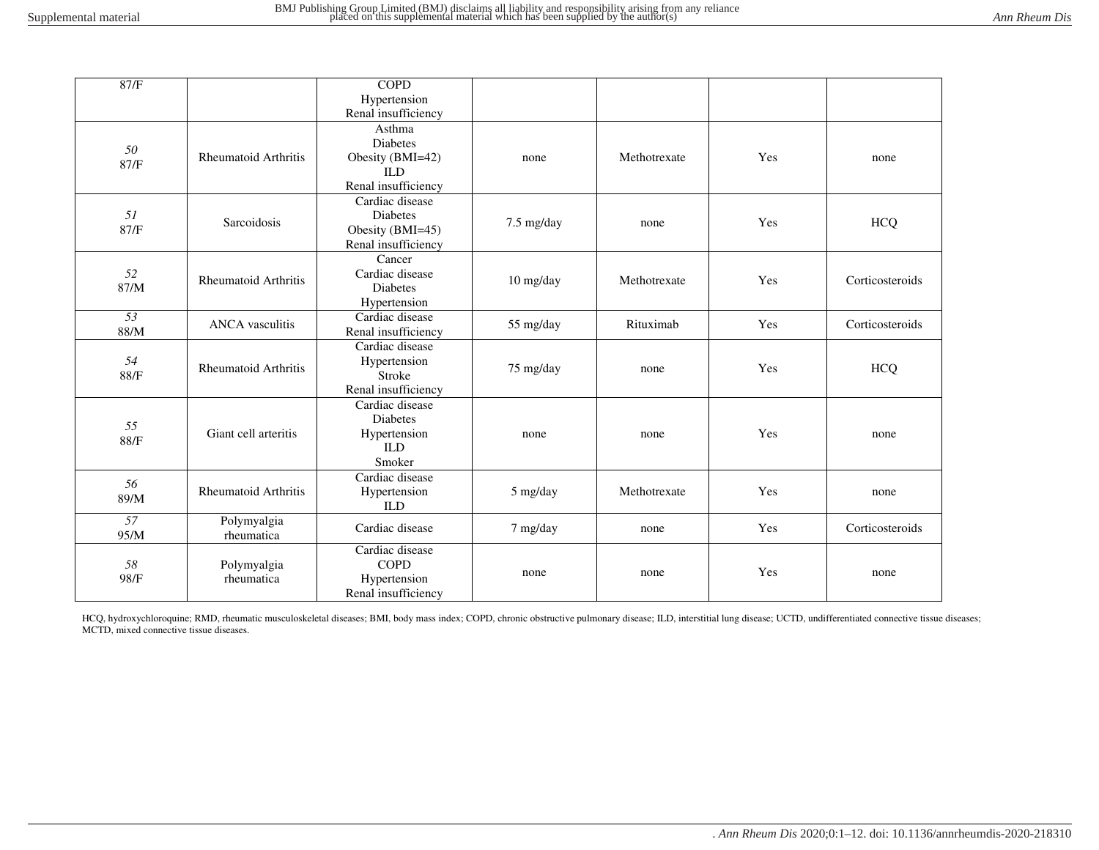| 87/F                    |                             | <b>COPD</b>                                                                        |            |              |     |                 |
|-------------------------|-----------------------------|------------------------------------------------------------------------------------|------------|--------------|-----|-----------------|
|                         |                             | Hypertension                                                                       |            |              |     |                 |
|                         |                             | Renal insufficiency                                                                |            |              |     |                 |
| 50<br>87/F              | <b>Rheumatoid Arthritis</b> | Asthma<br><b>Diabetes</b><br>Obesity (BMI=42)<br><b>ILD</b><br>Renal insufficiency | none       | Methotrexate | Yes | none            |
| 51<br>87/F              | Sarcoidosis                 | Cardiac disease<br><b>Diabetes</b><br>Obesity (BMI=45)<br>Renal insufficiency      | 7.5 mg/day | none         | Yes | <b>HCQ</b>      |
| 52<br>87/M              | <b>Rheumatoid Arthritis</b> | Cancer<br>Cardiac disease<br><b>Diabetes</b><br>Hypertension                       | 10 mg/day  | Methotrexate | Yes | Corticosteroids |
| $\overline{53}$<br>88/M | <b>ANCA</b> vasculitis      | Cardiac disease<br>Renal insufficiency                                             | 55 mg/day  | Rituximab    | Yes | Corticosteroids |
| 54<br>88/F              | <b>Rheumatoid Arthritis</b> | Cardiac disease<br>Hypertension<br>Stroke<br>Renal insufficiency                   | 75 mg/day  | none         | Yes | <b>HCQ</b>      |
| 55<br>88/F              | Giant cell arteritis        | Cardiac disease<br><b>Diabetes</b><br>Hypertension<br><b>ILD</b><br>Smoker         | none       | none         | Yes | none            |
| 56<br>89/M              | <b>Rheumatoid Arthritis</b> | Cardiac disease<br>Hypertension<br><b>ILD</b>                                      | 5 mg/day   | Methotrexate | Yes | none            |
| 57<br>95/M              | Polymyalgia<br>rheumatica   | Cardiac disease                                                                    | 7 mg/day   | none         | Yes | Corticosteroids |
| 58<br>98/F              | Polymyalgia<br>rheumatica   | Cardiac disease<br><b>COPD</b><br>Hypertension<br>Renal insufficiency              | none       | none         | Yes | none            |

HCQ, hydroxychloroquine; RMD, rheumatic musculoskeletal diseases; BMI, body mass index; COPD, chronic obstructive pulmonary disease; ILD, interstitial lung disease; UCTD, undifferentiated connective tissue diseases; MCTD, mixed connective tissue diseases.